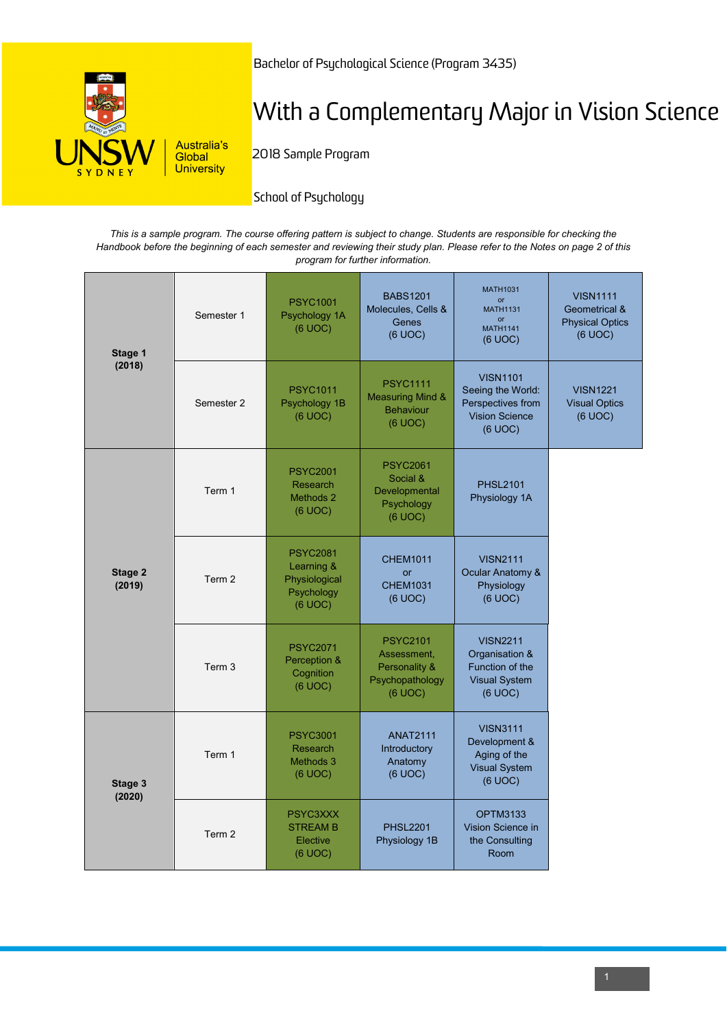

Bachelor of Psychological Science (Program 3435)

# With a Complementary Major in Vision Science

2018 Sample Program

# School of Psychology

*This is a sample program. The course offering pattern is subject to change. Students are responsible for checking the Handbook before the beginning of each semester and reviewing their study plan. Please refer to the Notes on page 2 of this program for further information.*

| Stage 1<br>(2018) | Semester 1        | <b>PSYC1001</b><br>Psychology 1A<br>(6 UOC)                             | <b>BABS1201</b><br>Molecules, Cells &<br>Genes<br>(6 UOC)                     | <b>MATH1031</b><br><b>or</b><br><b>MATH1131</b><br><b>or</b><br><b>MATH1141</b><br>(6 UOC)    | <b>VISN1111</b><br>Geometrical &<br><b>Physical Optics</b><br>(6 UOC) |
|-------------------|-------------------|-------------------------------------------------------------------------|-------------------------------------------------------------------------------|-----------------------------------------------------------------------------------------------|-----------------------------------------------------------------------|
|                   | Semester 2        | <b>PSYC1011</b><br>Psychology 1B<br>(6 UOC)                             | <b>PSYC1111</b><br><b>Measuring Mind &amp;</b><br><b>Behaviour</b><br>(6 UOC) | <b>VISN1101</b><br>Seeing the World:<br>Perspectives from<br><b>Vision Science</b><br>(6 UOC) | <b>VISN1221</b><br><b>Visual Optics</b><br>(6 UOC)                    |
| Stage 2<br>(2019) | Term 1            | <b>PSYC2001</b><br>Research<br>Methods 2<br>(6 UOC)                     | <b>PSYC2061</b><br>Social &<br>Developmental<br>Psychology<br>(6 UOC)         | <b>PHSL2101</b><br>Physiology 1A                                                              |                                                                       |
|                   | Term 2            | <b>PSYC2081</b><br>Learning &<br>Physiological<br>Psychology<br>(6 UOC) | <b>CHEM1011</b><br><b>or</b><br><b>CHEM1031</b><br>(6 UOC)                    | <b>VISN2111</b><br>Ocular Anatomy &<br>Physiology<br>(6 UOC)                                  |                                                                       |
|                   | Term 3            | <b>PSYC2071</b><br>Perception &<br>Cognition<br>(6 UOC)                 | <b>PSYC2101</b><br>Assessment,<br>Personality &<br>Psychopathology<br>(6 UOC) | <b>VISN2211</b><br>Organisation &<br>Function of the<br><b>Visual System</b><br>(6 UOC)       |                                                                       |
| Stage 3<br>(2020) | Term 1            | <b>PSYC3001</b><br>Research<br>Methods 3<br>(6 UOC)                     | <b>ANAT2111</b><br>Introductory<br>Anatomy<br>(6 UOC)                         | <b>VISN3111</b><br>Development &<br>Aging of the<br><b>Visual System</b><br>(6 UOC)           |                                                                       |
|                   | Term <sub>2</sub> | PSYC3XXX<br><b>STREAM B</b><br>Elective<br>(6 UOC)                      | <b>PHSL2201</b><br>Physiology 1B                                              | <b>OPTM3133</b><br>Vision Science in<br>the Consulting<br>Room                                |                                                                       |